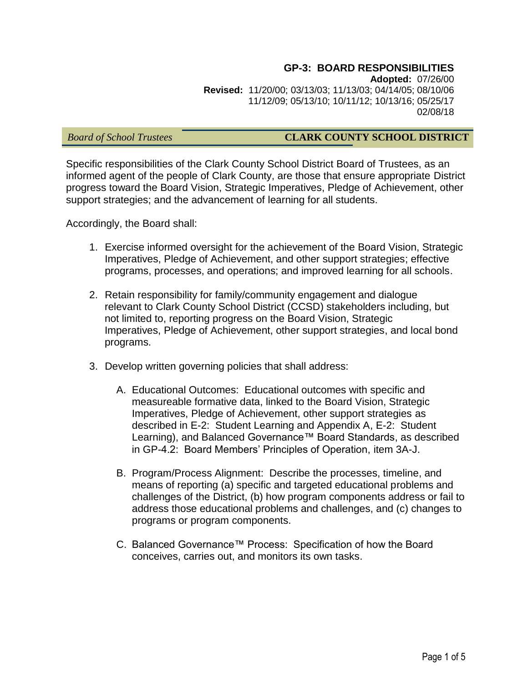#### **GP-3: BOARD RESPONSIBILITIES Adopted:** 07/26/00 **Revised:** 11/20/00; 03/13/03; 11/13/03; 04/14/05; 08/10/06 11/12/09; 05/13/10; 10/11/12; 10/13/16; 05/25/17 02/08/18

# *Board of School Trustees* **CLARK COUNTY SCHOOL DISTRICT**

Specific responsibilities of the Clark County School District Board of Trustees, as an informed agent of the people of Clark County, are those that ensure appropriate District progress toward the Board Vision, Strategic Imperatives, Pledge of Achievement, other support strategies; and the advancement of learning for all students.

Accordingly, the Board shall:

- 1. Exercise informed oversight for the achievement of the Board Vision, Strategic Imperatives, Pledge of Achievement, and other support strategies; effective programs, processes, and operations; and improved learning for all schools.
- 2. Retain responsibility for family/community engagement and dialogue relevant to Clark County School District (CCSD) stakeholders including, but not limited to, reporting progress on the Board Vision, Strategic Imperatives, Pledge of Achievement, other support strategies, and local bond programs.
- 3. Develop written governing policies that shall address:
	- A. Educational Outcomes: Educational outcomes with specific and measureable formative data, linked to the Board Vision, Strategic Imperatives, Pledge of Achievement, other support strategies as described in E-2: Student Learning and Appendix A, E-2: Student Learning), and Balanced Governance™ Board Standards, as described in GP-4.2: Board Members' Principles of Operation, item 3A-J.
	- B. Program/Process Alignment: Describe the processes, timeline, and means of reporting (a) specific and targeted educational problems and challenges of the District, (b) how program components address or fail to address those educational problems and challenges, and (c) changes to programs or program components.
	- C. Balanced Governance™ Process: Specification of how the Board conceives, carries out, and monitors its own tasks.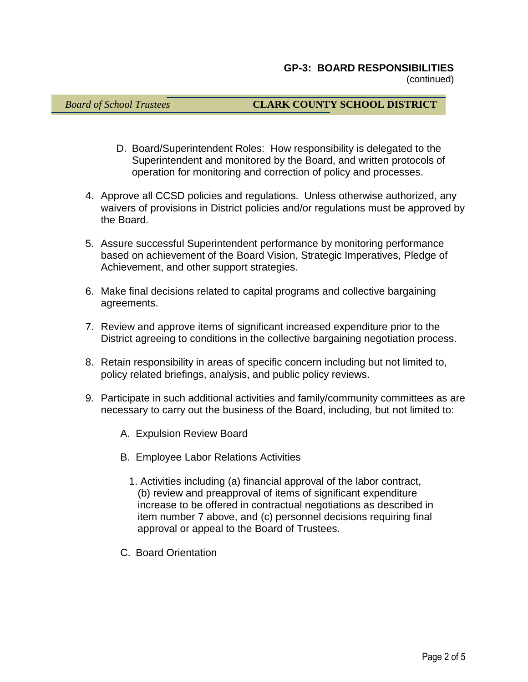(continued)

# *Board of School Trustees* **CLARK COUNTY SCHOOL DISTRICT**

- D. Board/Superintendent Roles: How responsibility is delegated to the Superintendent and monitored by the Board, and written protocols of operation for monitoring and correction of policy and processes.
- 4. Approve all CCSD policies and regulations. Unless otherwise authorized, any waivers of provisions in District policies and/or regulations must be approved by the Board.
- 5. Assure successful Superintendent performance by monitoring performance based on achievement of the Board Vision, Strategic Imperatives, Pledge of Achievement, and other support strategies.
- 6. Make final decisions related to capital programs and collective bargaining agreements.
- 7. Review and approve items of significant increased expenditure prior to the District agreeing to conditions in the collective bargaining negotiation process.
- 8. Retain responsibility in areas of specific concern including but not limited to, policy related briefings, analysis, and public policy reviews.
- 9. Participate in such additional activities and family/community committees as are necessary to carry out the business of the Board, including, but not limited to:
	- A. Expulsion Review Board
	- B. Employee Labor Relations Activities
		- 1. Activities including (a) financial approval of the labor contract, (b) review and preapproval of items of significant expenditure increase to be offered in contractual negotiations as described in item number 7 above, and (c) personnel decisions requiring final approval or appeal to the Board of Trustees.
	- C. Board Orientation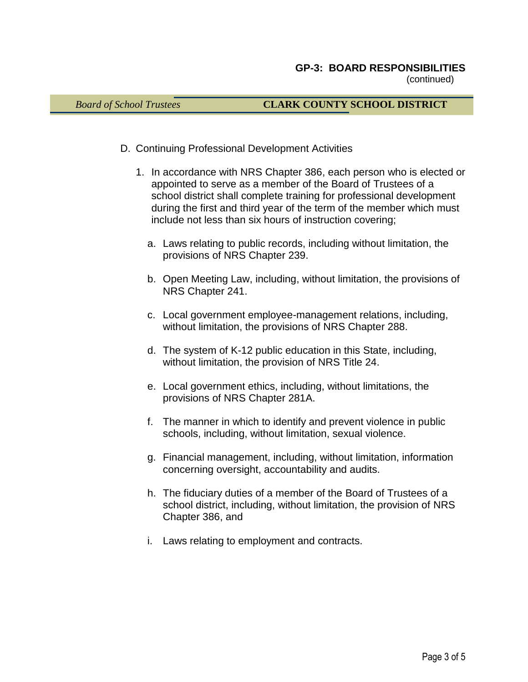(continued)

### *Board of School Trustees* **CLARK COUNTY SCHOOL DISTRICT**

- D. Continuing Professional Development Activities
	- 1. In accordance with NRS Chapter 386, each person who is elected or appointed to serve as a member of the Board of Trustees of a school district shall complete training for professional development during the first and third year of the term of the member which must include not less than six hours of instruction covering;
		- a. Laws relating to public records, including without limitation, the provisions of NRS Chapter 239.
		- b. Open Meeting Law, including, without limitation, the provisions of NRS Chapter 241.
		- c. Local government employee-management relations, including, without limitation, the provisions of NRS Chapter 288.
		- d. The system of K-12 public education in this State, including, without limitation, the provision of NRS Title 24.
		- e. Local government ethics, including, without limitations, the provisions of NRS Chapter 281A.
		- f. The manner in which to identify and prevent violence in public schools, including, without limitation, sexual violence.
		- g. Financial management, including, without limitation, information concerning oversight, accountability and audits.
		- h. The fiduciary duties of a member of the Board of Trustees of a school district, including, without limitation, the provision of NRS Chapter 386, and
		- i. Laws relating to employment and contracts.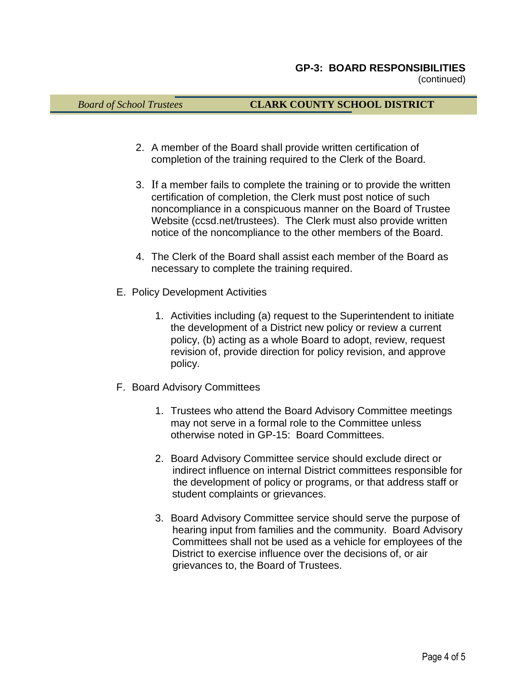## *Board of School Trustees* **CLARK COUNTY SCHOOL DISTRICT**

- 2. A member of the Board shall provide written certification of completion of the training required to the Clerk of the Board.
- 3. If a member fails to complete the training or to provide the written certification of completion, the Clerk must post notice of such noncompliance in a conspicuous manner on the Board of Trustee Website (ccsd.net/trustees). The Clerk must also provide written notice of the noncompliance to the other members of the Board.
- 4. The Clerk of the Board shall assist each member of the Board as necessary to complete the training required.
- E. Policy Development Activities
	- 1. Activities including (a) request to the Superintendent to initiate the development of a District new policy or review a current policy, (b) acting as a whole Board to adopt, review, request revision of, provide direction for policy revision, and approve policy.
- F. Board Advisory Committees
	- 1. Trustees who attend the Board Advisory Committee meetings may not serve in a formal role to the Committee unless otherwise noted in GP-15: Board Committees.
	- 2. Board Advisory Committee service should exclude direct or indirect influence on internal District committees responsible for the development of policy or programs, or that address staff or student complaints or grievances.
	- 3. Board Advisory Committee service should serve the purpose of hearing input from families and the community. Board Advisory Committees shall not be used as a vehicle for employees of the District to exercise influence over the decisions of, or air grievances to, the Board of Trustees.